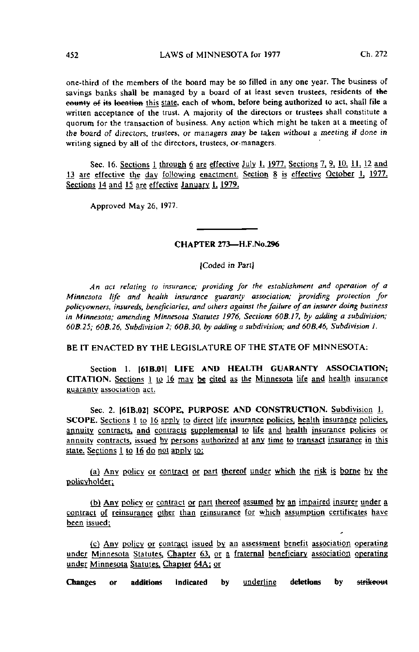one-third of the members of the board may be so filled in any one year. The business of savings banks shall be managed by a board of at least seven trustees, residents of the eounty of its location this state, each of whom, before being authorized to act, shall file a written acceptance of the trust. A majority of the directors or trustees shall constitute a quorum for the transaction of business. Any action which might be taken at a meeting of the board of directors, trustees, or managers may be taken wilhoul a meeting if done in writing signed by all of the directors, trustees, or-managers.

Sec. 16. Sections 1 through 6 are effective July 1, 1977. Sections  $7, 9, 10, 11, 12$  and 13 are effective the day following enactment. Section 8 is effective October 1, 1977. Sections 14 and 15 are effective January 1, 1979.

Approved May 26, 1977.

## CHAPTER 273—H.F.No.296

(Coded in Part)

An act relating to insurance; providing for the establishment and operation of a Minnesota life and health insurance guaranty association; providing protection for policyowners, insureds, beneficiaries, and others against the failure of an insurer doing business in Minnesota; amending Minnesota Statutes 1976, Sections 60BJ7, by adding a subdivision; 60B.25; 60B.26, Subdivision 2; 60B.30, by adding a subdivision; and 60B.46, Subdivision 1.

BE IT ENACTED BY THE LEGISLATURE OF THE STATE OF MINNESOTA:

Section 1. [61B.01] LIFE AND HEALTH GUARANTY ASSOCIATION; CITATION. Sections I to 16 may be cited as the Minnesota life and health insurance guaranty association act.

Sec. 2. [61B.02] SCOPE, PURPOSE AND CONSTRUCTION. Subdivision 1. SCOPE. Sections 1 to 16 apply to direct life insurance policies, health insurance policies, annuity contracts, and contracts supplemental to life and health insurance policies or annuity contracts, issued by persons authorized at any time to transact insurance in this state. Sections 1 to 16 do not apply to:

(a) Any policy or contract or part thereof under which the risk is borne by the policvholder.

(b) Any policy or contract or part thereof assumed by an impaired insurer under a contract of reinsurance other than reinsurance for which assumption certificates have been issued;

(c) Any policy or contract issued by an assessment benefit association operating under Minnesota Statutes, Chapter  $63$ , or a fraternal beneficiary association operating under Minnesota Statutes. Chapter 64A; or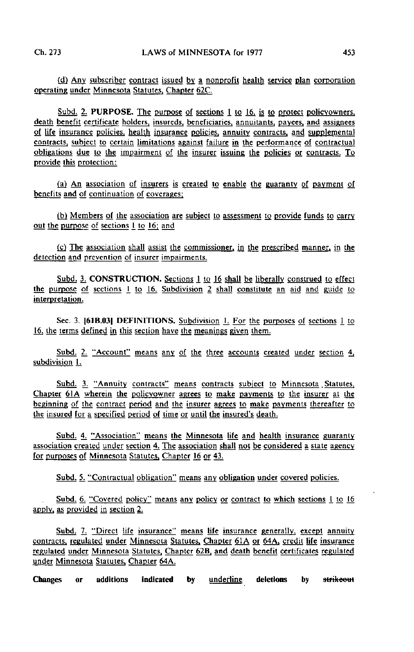(d) Any subscriber contract issued by\_ a nonprofit health service plan corporation operating under Minnesota Statutes. Chapter 62C.

Subd. 2. PURPOSE. The purpose of sections 1 to 16, is to protect policyowners, death benefit certifjcate holders, insureds, beneficiaries, annuitants, payees, and assignees of life insurance policies, health insurance policies, annuity contracts, and supplemental contracts, subject to certain limitations against failure in the performance of contractual obligations due to the impairment of the insurer issuing the policies or contracts. To provide this protection:

(a) An association of insurers is created to enable the guaranty of payment of benefits and of continuation of coverages;

(b) Members of the association are subject to assessment to provide funds to carry out the purpose of sections 1 to 16; and

[cj The association shall assist the commissioner, in the prescribed manner, in the detection and prevention of insurer impairments.

Subd. 3. CONSTRUCTION. Sections 1 to 16 shall be liberally construed to effect the purposg of sections 1 to 16. Subdivision 2 shall constitute an aid and guide to interpretation.

Sec. 3. [61B.03I DEFINITIONS. Subdivision L For the purposes of sections 1 to 16, the terms defined in this section have the meanings given them.

Subd. 2. "Account" means any of the three accounts created under section 4, subdivision 1.

Subd. 3. "Annuity contracts" means contracts subject to Minnesota Statutes, Chapter 6IA wherein the policyowner agrees to make payments to the insurer at the beginning of the contract period and the insurer agrees to make payments thereafter to the insured for a specified period of time or until the insured's death.

Subd. 4. "Association" means the Minnesota life and health insurance guaranty association created under section 4. The association shall not be considered a state agency for purposes of Minnesota Statutes, Chapter 16 or 43.

Subd. 5. "Contractual obligation" means any obligation under covered policies.

Subd. 6. "Covered policy" means any policy or contract to which sections 1 to 16 apply, as provided in section 2.

Subd. 7. "Direct life insurance" means life insurance generally, except annuity contracts, regulated under Minnesota Statutes. Chapter 61A or 64A. credit life insurance regulated under Minnesota Statutes. Chapter 62B. and death benefit certificates regulated under Minnesota Statutes, Chapter 64A.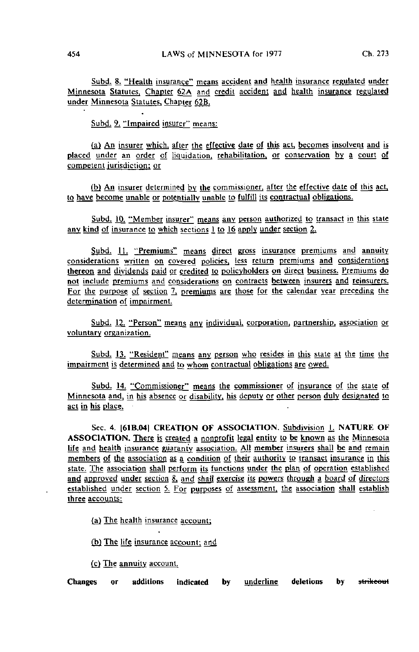Subd. 8. "Health insurance" means accident and health insurance regulated under Minnesota Statutes. Chapter 62A and credit accident and health insurance regulated under Minnesota Statutes. Chapter 62B.

Subd. 9. "Impaired insurer" means:

(a) An insurer which, after the effective date of this act, becomes insolvent and is placed under an order of liquidation, rehabilitation, or conservation by a court of competent jurisdiction; or

(b) An insurer determined by the commissioner, after the effective date of this act, to have become unable or potentially unable to fulfill its contractual obligations.

Subd. 10. "Member insurer" means any person authorized to transact in this state any kind of insurance to which sections 1 to 16 apply under section 2.

Subd. 11. "Premiums" means direct gross insurance premiums and annuity considerations written on covered policies, less return premiums and considerations thereon and dividends paid or credited to policyholders on direct business. Premiums do not include premiums and considerations on contracts between insurers and reinsurers. For the purpose of section 7, premiums are those for the calendar year preceding the determination of impairment.

Subd. 12. "Person" means any individual, corporation, partnership, association or voluntary organization.

Subd. 13. "Resident" means any person who resides in this state at the time the impairment is determined and to whom contractual obligations are owed.

Subd. 14. "Commissioner" means the commissioner of insurance of the state of Minnesota and, in his absence or disability, his deputy or other person duly designated to act in his place.

Sec. 4. [61B.04] CREATION OF ASSOCIATION. Subdivision L. NATURE OF ASSOCIATION. There is created a nonprofit legal entity to be known as the Minnesota life and health insurance guaranty association. All member insurers shall be and remain members of the association as a condition of their authority to transact insurance in this state. The association shall perform its functions under the plan of operation established and approved under section 8, and shall exercise its powers through a board of directors established under section 5. For purposes of assessment, the association shall establish three accounts:

(a) The health insurance account;

(b) The life insurance account: and

(c) The annuity account.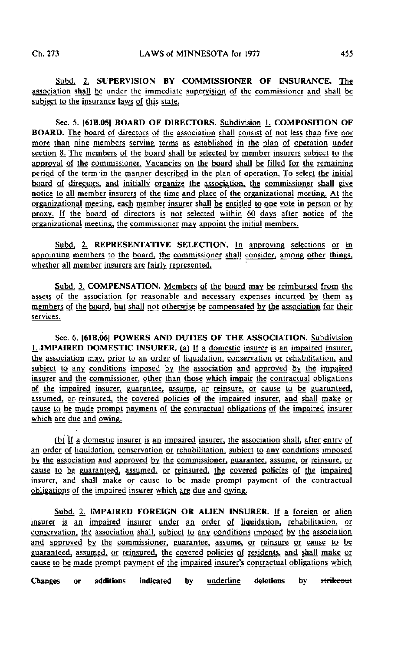Subd. 2, SUPERVISION BY COMMISSIONER OF INSURANCE. The association shall be under the immediate supervision of the commissioner and shall be subject to the insurance laws of this state.

Sec. 5. [61B.05] BOARD OF DIRECTORS. Subdivision 1. COMPOSITION OF BOARD. The board of directors of the association shall consist of not less than five nor more than nine members serving terms as established in the plan of operation under section 8. The members of the board shall be selected by member insurers subject to the approval of the commissioner. Vacancies on the board shall be filled for the remaining period of the term in the manner described in the plan of operation. To select the initial board of directors, and initially organize the association, the commissioner shall give notice to all member insurers of the time and place of the organizational meeting. At the organizational meeting, each member insurer shall be entitled to one vote in person or by proxy. If the board of directors is not selected within 60 days after notice of the organizational meeting, the commissioner may appoint the initial members.

Subd. 2. REPRESENTATIVE SELECTION. In approving selections or in appointing members to the board, the commissioner shall consider, among other things, whether all member insurers are fairly represented.

Subd. 3. COMPENSATION. Members of the board may be reimbursed from the assets of the association for reasonable and necessary expenses incurred by them as members of the board, but shall not otherwise be compensated by the association for their services.

Sec. 6. I61B.06] POWERS AND DUTIES OF THE ASSOCIATION. Subdivision L. IMPAIRED DOMESTIC INSURER. (a) If a domestic insurer is an impaired insurer, the association may, prior to an order of liquidation, conservation or rehabilitation, and subject to any conditions imposed by the association and approved by the impaired insurer and the commissioner, other than those which impair the contractual obligations of the impaired insurer, guarantee, assume, or reinsure, or cause to be guaranteed, assumed, or reinsured, the covered policies of the impaired insurer, and shall make or cause to be made prompt payment of the contractual obligations of the impaired insurer which are due and owing.

(bj If a domestic insurer is an impaired insurer, the association shall, after entry of an order of liquidation, conservation or rehabilitation, subject to any conditions imposed by the association and approved by the commissioner, guarantee, assume, or reinsure, or cause to be guaranteed, assumed, or reinsured, the covered policies of the impaired insurer, and shall make or cause to be made prompt payment of the contractual obligations of the impaired insurer which are due and owing.

Subd. 2. IMPAIRED FOREIGN OR ALIEN INSURER, if a foreign or alien insurer is an impaired insurer under an order of liquidation, rehabilitation, or conservation, the association shall, subject to any conditions imposed by the association and approved by the commissioner, guarantee, assume, or reinsure or cause to be guaranteed, assumed, or reinsured, the covered policies of residents, and shall make or cause to be made prompt payment of the impaired insurer's contractual obligations which

Changes or additions indicated by <u>underline</u> deletions by <del>strikeou</del>t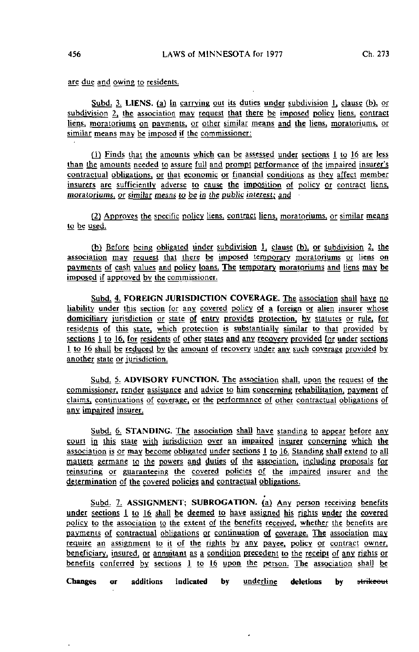are due and owing to residents.

Subd. 3. LIENS, (a) in carrying out its duties under subdivision  $\mathbf{l}$ , clause (b), or subdivision 2, the association may request that there be imposed policy liens, contract liens, moratoriums on payments, or other similar means and the liens, moratoriums, or similar means may be imposed if the commissioner:

(}) Finds that the amounts which can be assessed under sections I to 16 are less than the amounts needed to assure full and prompt performance of the impaired insurer's contractual obligations, or that economic or financial conditions as they affect member insurers are sufficiently adverse to cause the imposition of policy or contract liens. moratoriums, or similar means to be in the public interest; and

(2) Approves the specific policy liens, contract liens, moratoriums, or similar means to be used.

(b) Before being obligated under subdivision  $\frac{1}{2}$ , clause (b), or subdivision 2, the association may request that there be imposed temporary moratoriums or liens on payments of cash values and policy loans. The temporary moratoriums and liens may be imposed if approved by the commissioner.

Subd. 4. FOREIGN JURISDICTION COVERAGE. The association shall have no liability under this section for any covered policy of a foreign or alien insurer whose domiciliary jurisdiction or state of entry provides protection, by statutes or rule, for residents of this state, which protection is substantially similar to that provided by sections 1 to 16, for residents of other states and any recovery provided for under sections 1 to 16 shall be reduced by the amount of recovery under any such coverage provided by another state or jurisdiction.

Subd. 5. ADVISORY FUNCTION. The association shall, upon the request of the commissioner, render assistance and advice to him concerning rehabilitation, payment of claims, continuations of coverage, or the performance of other contractual obligations of any impaired insurer.

Subd. 6. STANDING. The association shall have standing to appear before any court in this state with jurisdiction over an impaired insurer concerning which the association is or may become obligated under sections 1 to 16. Standing shall extend to all matters germane to the powers and duties of the association, including proposals for reinsuring or guaranteeing the covered policies of the impaired insurer and the determination of the covered policies and contractual obligations.

Subd. 7. ASSIGNMENT; SUBROGATION. (a) Any person receiving benefits under sections 1 to 16 shall be deemed to have assigned his rights under the covered policy to the association to the extent of the benefits received, whether the benefits are payments of contractual obligations or continuation of coverage. The association may require an assignment to it of the rights by any payee, policy or contract owner, beneficiary, insured, or annuitant as a condition precedent to the receipt of any rights or benefits conferred by sections 1 to 16 upon the person. The association shall be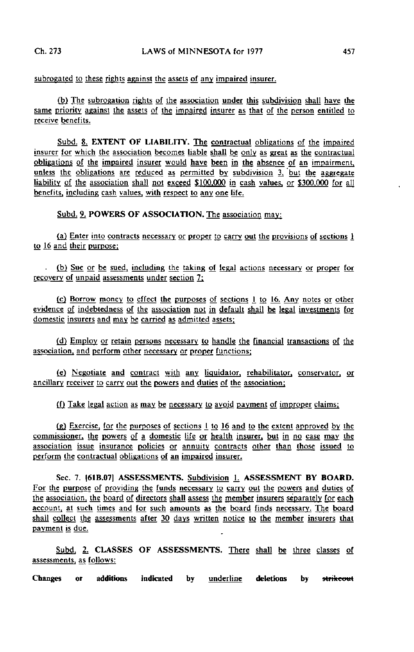subrogated to these rights against the assets of any impaired insurer.

(b) The subrogation rights of the association under this subdivision shall have the same priority against the assets of the impaired insurer as that of the person entitled to receive benefits.

Subd. 8, EXTENT OF LIABILITY. The contractual obligations of the impaired insurer for which the association becomes liable shall be only as great as the contractual obligations of the impaired insurer would have been in the absence of an impairment, unless the obligations are reduced as permitted by subdivision  $3$ , but the aggregate liability of the association shall not exceed \$100.000 in cash values, or S300.000 for all benefits, including cash values, with respect to any one life.

Subd. 9. POWERS OF ASSOCIATION. The association may:

(a) Enter into contracts necessary or proper to carry out the provisions of sections 1 to 16 and their purpose;

(b) Sue or be sued, including the taking of legal actions necessary or proper for recovery of unpaid assessments under section 7;

 $(c)$  Borrow money to effect the purposes of sections 1 to 16. Any notes or other evidence of indebtedness of the association not in default shall be legal investments for domestic insurers and may be carried as admitted assets;

 $(d)$  Employ or retain persons necessary to handle the financial transactions of the association, and perform other necessary or proper functions;

(e) Negotiate and contract with any Ufluidator, rehabilitatpr. conservator, or ancillary receiver to carry out the powers and duties of the association;

(f) Take legal action as may be necessary to avoid payment of improper claims;

 $(g)$  Exercise, for the purposes of sections 1 to 16 and to the extent approved by the commissioner, the powers of a domestic life or health insurer, but in no case may the association issue insurance policies or annuity contracts other than those issued to perform the contractual obligations of an impaired insurer.

Sec. 7. |61B.07| ASSESSMENTS. Subdivision L. ASSESSMENT BY BOARD. For the purpose of providing the funds necessary to carry out the powers and duties of the association, the board of directors shall assess the member insurers separately for each account, at such times and for such amounts as the board finds necessary. The board shall collect the assessments after 30 days written notice to the member insurers that payment is due.

Subd. 2. CLASSES OF ASSESSMENTS. There shall be three classes of assessments, as follows:

Changes or additions indicated by <u>underline</u> deletions by <del>strikeout</del>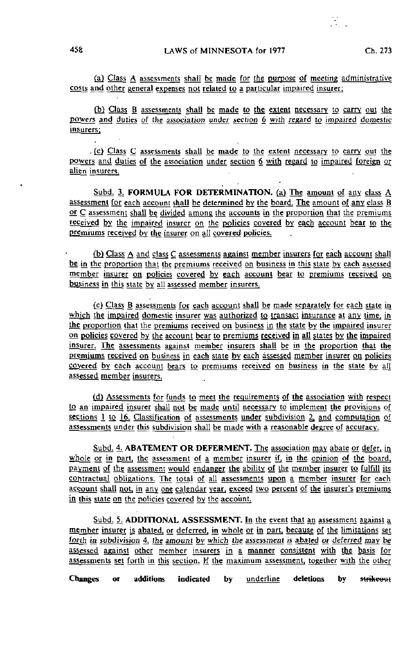(a) Class A assessments shall be made for the purpose of meeting administrative costs and other general expenses not related to a particular impaired insurer;

(b) Class B assessments shall be made to the extent necessary to carry out the powers and duties of the association under section 6 with regard to impaired domestic insurers;

. (c) Class C assessments shall be made to the extent necessary to carry out the powers and duties of the association under section 6 with regard to impaired foreign or align insurers.

Subd. 3. FORMULA FOR DETERMINATION. (a) The amount of any class A assessment for each account shall be determined by the board. The amount of any class B or C assessment shall be divided among the accounts in the proportion that the premiums received by the impaired insurer on the policies covered by each account bear to the premiums received by the insurer on all covered policies.

(b) Class A and class C assessments against member insurers for each account shall be in the proportion that the premiums received on business in this state by each assessed member insurer on policies covered by each account bear to premiums received on business in this state by all assessed member insurers.

(c) Class B assessments for each account shall be made separately for each state in which the impaired domestic insurer was authorized to transact insurance at any time, in the proportion that the premiums received on business in the state by the impaired insurer on policies covered by the account bear to premiums received in all states by the impaired insurer. The assessments against member insurers shall be in the proportion that the premiums received on business in each state by each assessed member insurer on policies covered by each account bears to premiums received on business in the state by all assessed member insurers.

(d) Assessments for funds to meet the requirements of the association with respect to an impaired msurer shall not be made until necessary to implement the provisions of sections 1 to 16. Classification of assessments under subdivision 2, and computation of assessments under this subdivision shall be made with a reasonable degree of accuracy.

Subd. 4. ABATEMENT OR DEFERMENT. The association may abate or defer, in whole or in part, the assessment of a member insurer if, in the opinion of the board, payment of the assessment would endanger the ability of the member insurer to fulfill its contractual obligations. The total of all assessments upon a member insurer for each account shall not, in any one calendar year, exceed two percent of the insurer's premiums in this state on the policies covered by the account.

Subd. 5. ADDITIONAL ASSESSMENT. In the event that an assessment against a member insurer is abated, or deferred, in whole or in part, because of the limitations set forth in subdivision 4, the amount by which the assessment is abated or deferred may be assessed against other member insurers in a manner consistent with the basis for assessments set forth in this section. If the maximum assessment, together with the other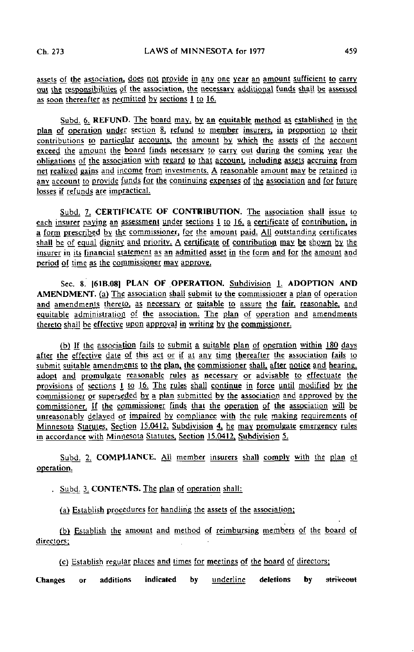assets of the association, does not provide in any one year an amount sufficient to carry out the responsibilities of the association, the necessary additional funds shall be assessed as soon thereafter as permitted by sections 1 to 16.

Subd. 6. REFUND. The board may, by. an equitable method as established in the plan of operation undgr section 8, refund to member insurers, in proportion to their contributions to particular accounts, the amount by which the assets of the account exceed the amount the board finds necessary to carry out during the coming year the obligations of the association with regard to that account, including assets accruing from net realized gains and income from investments. A reasonable amount may be retained in any account to provide funds for the continuing expenses of the association and for future losses if refunds are impractical.

Subd. 7. CERTIFICATE OF CONTRIBUTION. The association shall issue to each insurer paying an assessment under sections  $1$  to 16, a certificate of contribution, in a form prescribed by the commissioner, for the amount paid. All outstanding certificates shall be of equal dignity and priority. A certificate of contribution may be shown by the insurer in its financial statement as an admitted asset in the form and for the amount and period of time as the commissioner may approve.

Sec. 8. **[61B.08] PLAN OF OPERATION.** Subdivision 1. ADOPTION AND AMENDMENT. (a) The association shall submit to the commissioner a plan of operation and amendments thereto, as necessary or suitable to assure the fair, reasonable, and equitable administration of the association. The plan of operation and amendments thereto shall be effective upon approval in writing by the commissioner.

(b) If the association fails to submit a suitable plan of operation within 180 days after the effective date of this act or if at any time thereafter the association fails to submit suitable amendments to the plan, the commissioner shall, after notice and hearing, adopt and promulgate reasonable rules as necessary or advisable to effectuate the provisions of sections 1 to 16. The rules shall continue in force until modified by the commissioner or superseded by a plan submitted by the association and approved by the commissioner. If the commissioner finds that the operation of the association will be unreasonably delayed of impaired by compliance with the rule making requirements of Minnesota Statutes, Section 15.0412, Subdivision 4, he may promulgate emergency rules in accordance with Minnesota Statutes. Section 15.0412. Subdivision 5.

Subd. 2. COMPLIANCE. All member insurers shall comply with the plan of operation.

. Subd. 3. CONTENTS. The plan of operation shall:

(a) Establish procedures for handling the assets of the association;

(b) Establish the amount and method of reimbursing members of the board of directors;  $\sim$ 

[cj Establish regular places and times for meetings of the board of directors;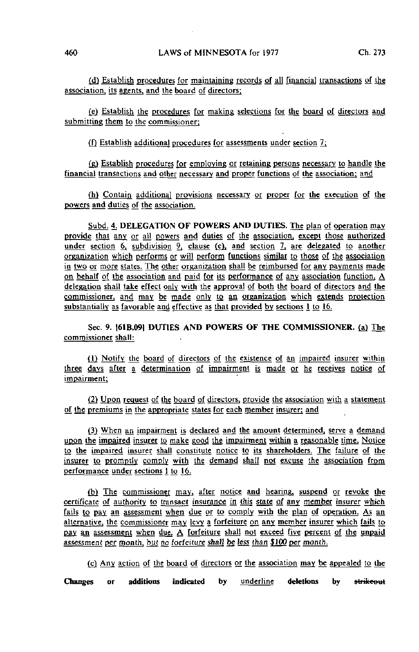(d) Establish procedures for maintaining records of all financial transactions of the association, its agents, and the board of directors;

(e) Establish the procedures for making selections for the board of directors and submitting them to the commissioner:

(f) Establish additional procedures for assessments under section  $7$ ;

(g) Establish procedures for employing or retaining persons necessary to handle the financial transactions and other necessary and proper functions of the association: and

(h) Contain additional provisions necessary or proper for the execution of the powers and duties of the association.

Subd. 4. DELEGATION OF POWERS AND DUTIES. The plan of operation may provide that any or all powers and duties of the association, except those authorized under section 6, subdivision 9, clause (c), and section 7, are delegated to another organization which performs or will perform functions similar to those of the association in two or more states. The other organization shall be reimbursed for any payments made on behalf of the association and paid for its performance of any association function, A delegation shall take effect only with the approval of both the board of directors and the commissioner, and may be made only to an organization which extends protection substantially as favorable and effective as that provided by sections 1 to 16.

Sec. 9. |61B.09] DUTIES AND POWERS OF THE COMMISSIONER, (a) The commissioner shall:

{Tj Notify the board of directors of the existence of an impaired insurer within three days after a determination of impairment is made or he receives notice of impairment;

(2) Upon request of the board of directors, provide the association with a statement of the premiums in the appropriate states for each member insurer: and

(3) When an impairment is declared and the amount determined, serve a demand upon the impaired insurer to make good the impairment within a reasonable time. Notice to the impaired insurer shall constitute notice to its shareholders. The failure of the insurer to promptly comply with the demand shall not excuse the association from<br>performance under sections 1 to 16.

(b) The commissioner may, after notice and hearing, suspend or revoke the certificate of authority to transact insurance in this state of any member insurer which fails to pay an assessment when due or to comply with the plan of operation. As an alternative, the commissioner may levy a forfeiture on any member insurer which fails to pay an assessment when due. A forfeiture shall not exceed five percent of the unpaid assessment per month, but no forfeiture shall be less than \$100 per month.

(c) Any action of the board of directors or the association may be appealed to the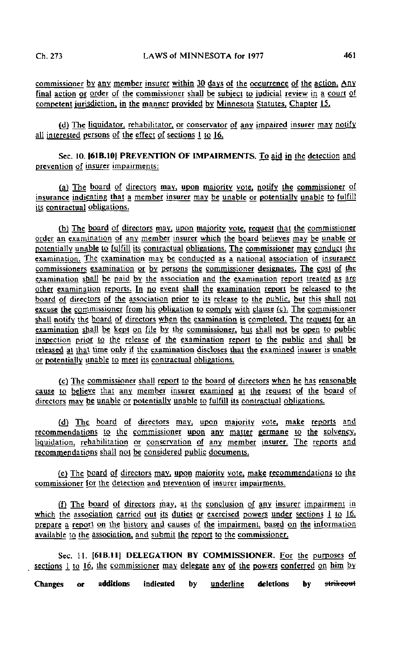commissioner by any member insurer within 30 days of the occurrence of the action. Any final action or order of the commissioner shall be subject to judicial review in a court of competent jurisdiction, in the manner provided by Minnesota Statutes, Chapter 15.

(d) The liquidator, rehabilitator, or conservator of any impaired insurer may notify all interested persons of the effect of sections I to 16.

Sec. 10. |61B.10| PREVENTION OF IMPAIRMENTS. To aid in the detection and prevention of insurer impairments:

(a) The board of directors may, upon majority vote, notify the commissioner of insurance indicating that a member insurer may be unable or potentially unable to fulfill its contractual obligations.

(b) The board of directors may, upon majority vote, request that the commissioner order an examination of any member insurer which the board believes may be unable or potentially unable to fulfill its contractual obligations. The commissioner may conduct the examination. The examination may be conducted as a national association of insurance commissioners examination or by persons the commissioner designates. The cost of the examination shall be paid by the association and the examination report treated as are other examination reports. In no event shall the examination report be released to the board of directors of the association prior to its release to the public, but this shall not excuse the commissioner from his obligation to comply with clause (c). The commissioner shall notify the board of directors when the examination is completed. The request for an examination shall be kept on file by the commissioner, but shall not be open to public inspection prior to the release of the examination report to the public and shall be released at that time only if the examination discloses that the examined insurer is unable or potentially unable to meet its contractual obligations.

(c) The commissioner shall report to the board of directors when he has reasonable cause to believe that any member insurer examined at the request of the board of directors may be unable or potentially unable to fulfill its contractual obligations.

(d) The board of directors may, upon majority vote, make reports and recommendations to the commissioner upon any matter germane to the solvency. liquidation, rehabilitation or conservation of any member insurer. The reports and recommendations shall not be considered public documents.

(e) The board of directors may, upon majority vote, make recommendations to the commissioner for the detection and prevention of insurer impairments.

[f} The board of directors may, at the conclusion of any insurer impairment in which the association carried out its duties or exercised powers under sections  $1$  to  $16$ , prepare a report on the history and causes of the impairment, based on the information available to the association, and submit the report to the commissioner.

Sec. 11. [61B.11] DELEGATION BY COMMISSIONER. For the purposes of sections 1 to  $16$ , the commissioner may delegate any of the powers conferred on him by.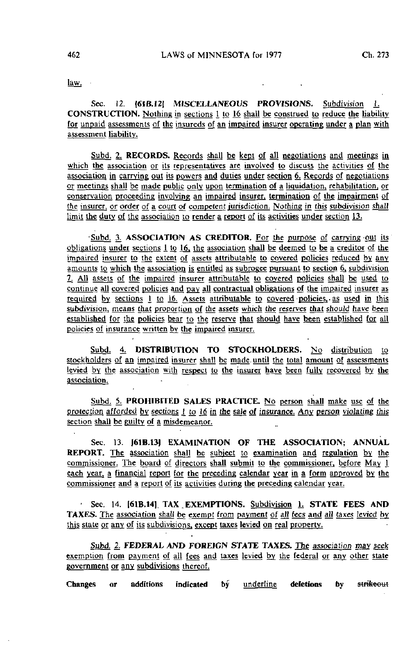law. •

Sec. 12. [61B.12] MISCELLANEOUS PROVISIONS. Subdivision 1. CONSTRUCTION. Nothing in sections 1 to 16 shall be construed to reduce the liability for unpaid assessments of the insureds of an impaired insurer operating under a plan with assessment liability.

Subd. 2. RECORDS. Records shall be kept of all negotiations and meetings in which the association or its representatives are involved to discuss the activities of the association in carrying out its powers and duties under section 6. Records of negotiations or meetings shall be made public only upon termination of a liquidation, rehabilitation, or conservation proceeding involving an impaired insurer, termination of the impairment of the insurer, or order of a court of competent jurisdiction. Nothing in this subdivision shall limit the duty of the association to render a report of its activities under section 13.

Subd. 3. ASSOCIATION AS CREDITOR. For the purpose of carrying out its obligations under sections  $\overline{1}$  to  $\overline{16}$ , the association shall be deemed to be a creditor of the impaired insurer to the extent of assets attributable to covered policies reduced by any amounts to which the association is entitled as subrogee pursuant to section 6, subdivision 2i All assets of the impaired insurer attributable to covered policies shall be used to continue all covered policies and pay all contractual obligations of the impaired insurer as required by sections 1 to 16. Assets attributable to covered policies, as used in this subdivision, means that proportion of the assets which the reserves that should have been established for the policies bear to the reserve that should have been established for all policies of insurance written by the impaired insurer.

Subd. 4. DISTRIBUTION TO STOCKHOLDERS. No distribution to stockholders of an impaired insurer shall be made, until the total amount of assessments levied by the association with respect to the insurer have been fully recovered by the association.

Subd. 5. PROHIBITED SALES PRACTICE. No person shall make use of the protection afforded by sections  $\ddagger$  to 16 in the sale of insurance. Any person violating this section shall be guilty of a misdemeanor.

Sec. 13. [61B.13] EXAMINATION OF THE ASSOCIATION; ANNUAL REPORT. The association shall be subject to examination and regulation by the commissioner. The board of directors shall submit to the commissioner, before May 1 each year, a financial report for the preceding calendar year in a form approved by the commissioner and a report of its activities during the preceding calendar year.

Sec. 14. [61B.14] TAX, EXEMPTIONS. Subdivision 1. STATE FEES AND TAXES. The association shall be exempt from payment of all fees and all taxes levied by this state or any of its subdivisions, except taxes levied on real property.

Subd. 2. FEDERAL AND FOREIGN STATE TAXES, The association may seek exemption from payment of all fees and taxes levied by the federal or any other state government or any subdivisions thereof.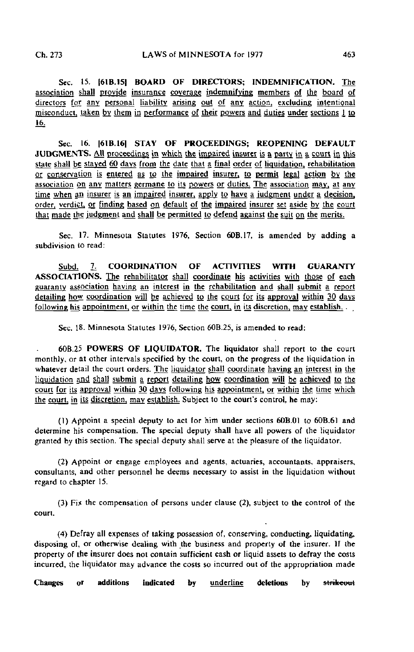Sec. 15. [61B.15I BOARD OF DIRECTORS; INDEMNIFICATION. The association shall provide insurance coverage indemnifying members of the board of directors for any personal liability arising out of any action, excluding intentional misconduct, taken by them in performance of their powers and duties under sections 1 to 16.

Sec. 16. |61B.16| STAY OF PROCEEDINGS; REOPENING DEFAULT JUDGMENTS. All proceedings in which the impaired insurer is a party in a court in this state shall be stayed 60 days from the date that a final order of liquidation, rehabilitation or conservation is entered as to the impaired insurer, to permit legal action by the association on any matters germane to its powers or duties. The association may, at any time when gn insurer is an impaired insurer, apply to have a judgment under a decision, order, verdict, or finding based on default of the impaired insurer set aside by the court that made the judgment and shall be permitted to defend against the suit on the merits.

Sec. 17. Minnesota Statutes 1976, Section 60B.17, is amended by adding a subdivision to read:

Subd. 7. COORDINATION OF ACTIVITIES WITH GUARANTY ASSOCIATIONS. The rehabilitator shall coordinate his activities with those of each guaranty association having an interest in the rehabilitation and shall submit a report detailing how coordination will be achieved to the court for its approval within 30 days following his appointment, or within the time the court, in its discretion, may establish. ...

Sec. 18. Minnesota Statutes 1976, Section 60B.25, is amended to read:

60B.25 POWERS OF LIQUIDATOR. The liquidator shall report to the court monthly, or at other intervals specified by the court, on the progress of the liquidation in whatever detail the court orders. The liquidator shall coordinate having an interest in the liquidation and shall submit a report detailing how coordination will be achieved to the court for its approval within 30 days following his appointment, or within the time which the court, in its discretion, may establish. Subject to the court's control, he may:

(1) Appoint a special deputy to act for him under sections 60B.01 to 60B.61 and determine his compensation. The special deputy shall have all powers of the liquidator granted by this section. The special deputy shall serve at the pleasure of the liquidator.

(2) Appoint or engage employees and agents, actuaries, accountants, appraisers, consultants, and other personnel he deems necessary to assist in the liquidation without regard to chapter 15.

(3) Fix the compensation of persons under clause (2), subject to the control of the court.

(4) Defray all expenses of taking possession of, conserving, conducting, liquidating, disposing of, or otherwise dealing with the business and property of the insurer. If the property of the insurer does not contain sufficient cash or liquid assets to defray the costs incurred, the liquidator may advance the costs so incurred out of the appropriation made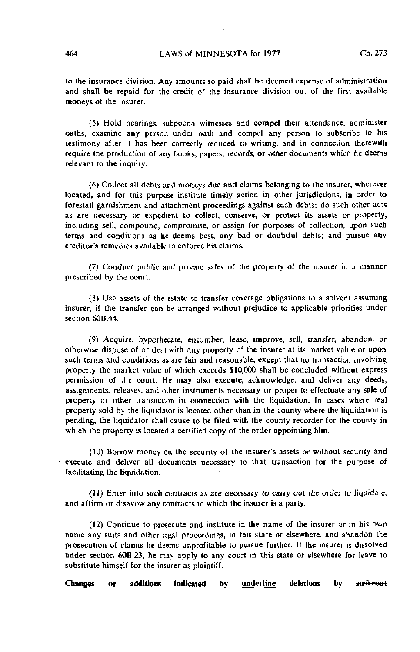to the insurance division. Any amounts so paid shall be deemed expense of administration and shall be repaid for the credit of the insurance division out of the first available moneys of the insurer.

(5) Hold hearings, subpoena witnesses and compel their attendance, administer oaths, examine any person under oath and compel any person to subscribe to his testimony after it has been correctly reduced to writing, and in connection therewith require the production of any books, papers, records, or other documents which he deems relevant to the inquiry.

(6) Collect all debts and moneys due and claims belonging to the insurer, wherever located, and for this purpose institute timely action in other jurisdictions, in order to forestall garnishment and attachment proceedings against such debts; do such other acts as are necessary or expedient to collect, conserve, or protect its assets or property, including sell, compound, compromise, or assign for purposes of collection, upon such terms and conditions as he deems best, any bad or doubtful debts; and pursue any creditor's remedies available to enforce his claims.

(7) Conduct public and private sales of the property of the insurer in a manner prescribed by the court.

(8) Use assets of the estate to transfer coverage obligations to a solvent assuming insurer, if the transfer can be arranged without prejudice to applicable priorities under section 60B.44

(9) Acquire, hypothecate, encumber, lease, improve, sell, transfer, abandon, or otherwise dispose of or deal with any property of the insurer at its market value or upon such terms and conditions as are fair and reasonable, except that no transaction involving property the market value of which exceeds \$10,000 shall be concluded without express permission of the court. He may also execute, acknowledge, and deliver any deeds, assignments, releases, and other instruments necessary or proper to effectuate any sale of property or other transaction in connection with the liquidation. In cases where real property sold by the liquidator is located other than in the county where the liquidation is pending, the liquidator shall cause to be filed with the county recorder for the county in which the property is located a certified copy of the order appointing him.

(10) Borrow money on the security of the insurer's assets or without security and execute and deliver all documents necessary to that transaction for the purpose of facilitating the liquidation.

(11) Enter into such contracts as are necessary lo carry out the order to liquidate, and affirm or disavow any contracts to which the insurer is a party.

(12) Continue to prosecute and institute in the name of the insurer or in his own name any suits and other legal proceedings, in this state or elsewhere, and abandon the prosecution of claims he deems unprofitable to pursue further. If the insurer is dissolved under section 60B.23, he may apply to any court in this state or elsewhere for leave to substitute himself for the insurer as plaintiff.

Changes or additions indicated by <u>underline</u> deletions by st<del>rikeou</del>t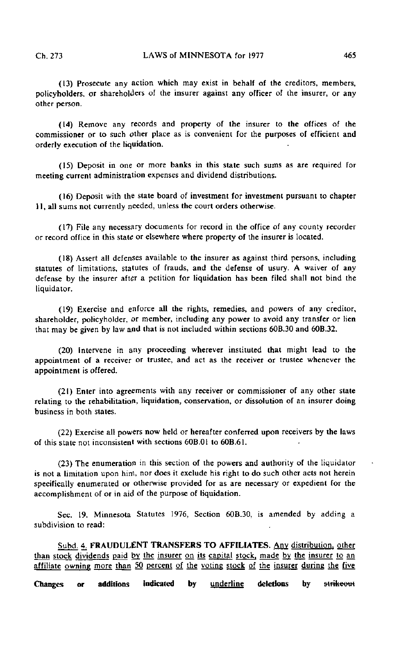(13) Prosecute any action which may exist in behalf of the creditors, members, policy holders, or shareholders of the insurer against any officer of the insurer, or any other person.

(14) Remove any records and property of the insurer to the offices of the commissioner or to such other place as is convenient for the purposes of efficient and orderly execution of the liquidation.

(15) Deposit in one or more banks in this state such sums as are required for meeting current administration expenses and dividend distributions.

(16) Deposit with the state board of investment for investment pursuant to chapter 11, all sums not currently needed, unless the court orders otherwise.

(17) File any necessary documents for record in the office of any county recorder or record office in this state or elsewhere where property of the insurer is located.

(18) Assert all defenses available to the insurer as against third persons, including statutes of limitations, statutes of frauds, and the defense of usury. A waiver of any defense by the insurer after a petition for liquidation has been filed shall not bind the liquidator.

(19) Exercise and enforce all the rights, remedies, and powers of any creditor, shareholder, policyholder, or member, including any power to avoid any transfer or lien that may be given by law and that is not included within sections 60B.30 and 60B.32.

(20) Intervene in any proceeding wherever instituted that might lead to the appointment of a receiver or trustee, and act as the receiver or trustee whenever the appointment is offered.

(21) Enter into agreements with any receiver or commissioner of any other state relating to the rehabilitation, liquidation, conservation, or dissolution of an insurer doing business in both states.

(22) Exercise all powers now held or hereafter conferred upon receivers by the laws of this state not inconsistent with sections 60B.01 to 60B.61.

(23) The enumeration in this section of the powers and authority of the liquidator is not a limitation upon him, nor does it exclude his right to do such other acts not herein specifically enumerated or otherwise provided for as are necessary or expedient for the accomplishment of or in aid of the purpose of liquidation.

Sec. 19. Minnesota Statutes 1976, Section 60B.30, is amended by adding a subdivision to read:

Subd. 4. FRAUDULENT TRANSFERS TO AFFILIATES. Any distribution, other than stock dividends paid by the insurer on its capital stock, made by the insurer to an affiliate owning more than 50 percent of the voting stock of the insurer during the five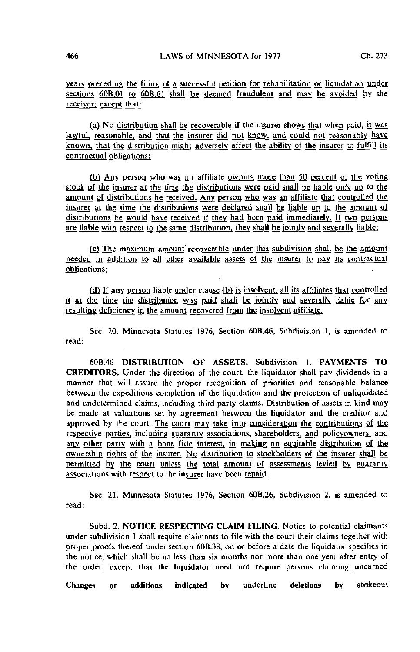years preceding the filing of a successful petition for rehabilitation or liquidation under sections 60B.01 to 60B.61 shall be deemed fraudulent and may be avoided by the receiver: except that:

(a) No distribution shall be recoverable if the insurer shows that when paid, it was lawful, reasonable, and that the insurer did not know, and could not reasonably have known, that the distribution might adversely affect the ability of the insurer to fulfill its contractual obligations:

fb) Any person who was an affiliate owning more than JQ percent of the voting stock of the insurer at the time the distributions were paid shall be liable only up to the amount of distributions he received. Any person who was an affiliate that controlled the insurer at the time the distributions were declared shall be liable up to the amount of distributions he would have received if they had been paid immediately. If two persons are liable with respect to the same distribution, they shall be jointly and severally liable;

(c) The maximum amount recoverable under this subdivision shall be the amount needed in addition to all other available assets of the insurer to gay. its contractual obligations:

(d) If any person liable under clause (b) is insolvent, all its affiliates that controlled it at the time the distribution was paid shall be jointly and severally liable for any resulting deficiency in the amount recovered from the insolvent affiliate.

Sec. 20. Minnesota Statutes 1976, Section 60B.46, Subdivision I, is amended to read:

60B.46 DISTRIBUTION OF ASSETS. Subdivision 1. PAYMENTS TO CREDITORS. Under the direction of the court, the liquidator shall pay dividends in a manner that will assure the proper recognition of priorities and reasonable balance between the expeditious completion of the liquidation and the protection of unliquidated and undetermined claims, including third party claims. Distribution of assets in kind may be made at valuations set by agreement between the liquidator and the creditor and approved by the court. The court may take into consideration the contributions of the respective parties, including guaranty associations, shareholders, and policyowners, and any other party with a bona fide interest, in making an equitable distribution of the ownership rights of the insurer. No distribution to stockholders of the insurer shall be permitted by the court unless the total amount of assessments levied by guaranty associations with respect to the insurer have been repaid.

Sec. 21. Minnesota Statutes 1976, Section 60B.26, Subdivision 2, is amended to read:

Subd. 2. NOTICE RESPECTING CLAIM FILING. Notice to potential claimants under subdivision 1 shall require claimants to file with the court their claims together with proper proofs thereof under section 60B.38, on or before a date the liquidator specifies in the notice, which shall be no less than six months nor more than one year after entry of the order, except that the liquidator need not require persons claiming unearned